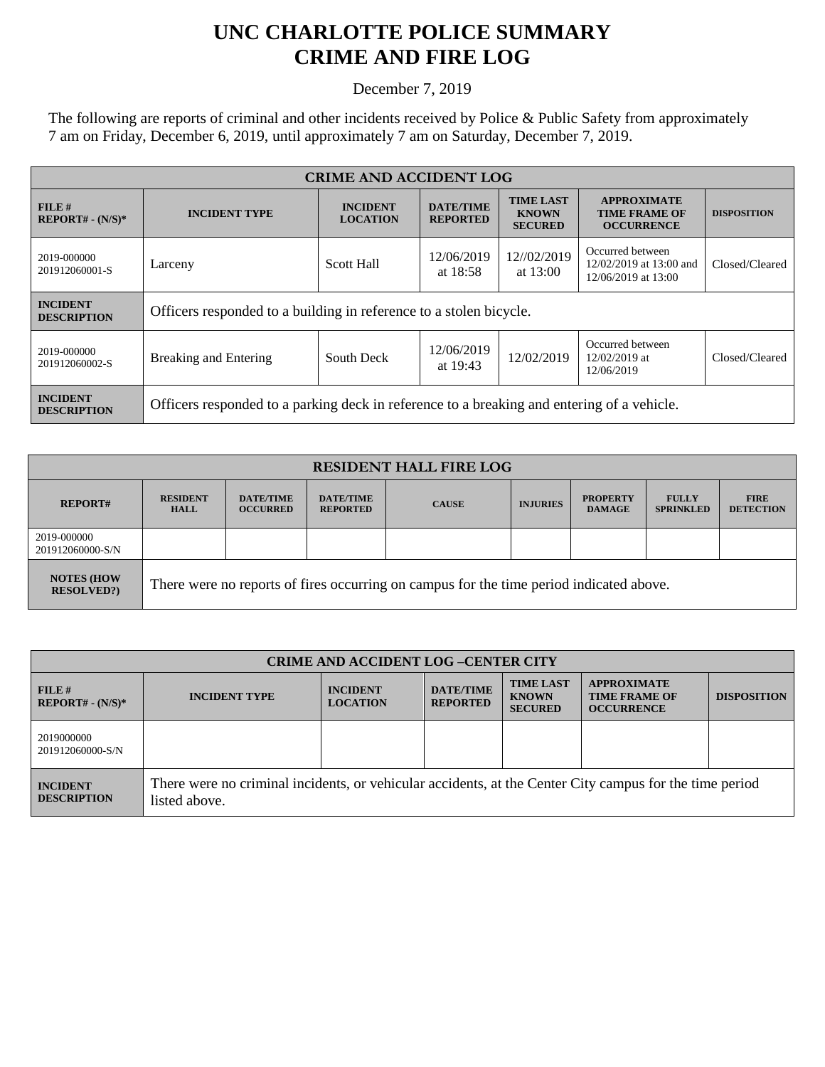## **UNC CHARLOTTE POLICE SUMMARY CRIME AND FIRE LOG**

December 7, 2019

The following are reports of criminal and other incidents received by Police & Public Safety from approximately 7 am on Friday, December 6, 2019, until approximately 7 am on Saturday, December 7, 2019.

| <b>CRIME AND ACCIDENT LOG</b>         |                                                                                            |                                    |                                     |                                                    |                                                                    |                    |  |
|---------------------------------------|--------------------------------------------------------------------------------------------|------------------------------------|-------------------------------------|----------------------------------------------------|--------------------------------------------------------------------|--------------------|--|
| FILE#<br>$REPORT# - (N/S)*$           | <b>INCIDENT TYPE</b>                                                                       | <b>INCIDENT</b><br><b>LOCATION</b> | <b>DATE/TIME</b><br><b>REPORTED</b> | <b>TIME LAST</b><br><b>KNOWN</b><br><b>SECURED</b> | <b>APPROXIMATE</b><br><b>TIME FRAME OF</b><br><b>OCCURRENCE</b>    | <b>DISPOSITION</b> |  |
| 2019-000000<br>201912060001-S         | <b>Scott Hall</b><br>Larceny                                                               |                                    | 12/06/2019<br>at $18:58$            | 12//02/2019<br>at $13:00$                          | Occurred between<br>12/02/2019 at 13:00 and<br>12/06/2019 at 13:00 | Closed/Cleared     |  |
| <b>INCIDENT</b><br><b>DESCRIPTION</b> | Officers responded to a building in reference to a stolen bicycle.                         |                                    |                                     |                                                    |                                                                    |                    |  |
| 2019-000000<br>201912060002-S         | <b>Breaking and Entering</b>                                                               | South Deck                         | 12/06/2019<br>at 19:43              | 12/02/2019                                         | Occurred between<br>$12/02/2019$ at<br>12/06/2019                  | Closed/Cleared     |  |
| <b>INCIDENT</b><br><b>DESCRIPTION</b> | Officers responded to a parking deck in reference to a breaking and entering of a vehicle. |                                    |                                     |                                                    |                                                                    |                    |  |

| <b>RESIDENT HALL FIRE LOG</b>         |                                                                                         |                                     |                                     |              |                 |                                  |                                  |                                 |
|---------------------------------------|-----------------------------------------------------------------------------------------|-------------------------------------|-------------------------------------|--------------|-----------------|----------------------------------|----------------------------------|---------------------------------|
| <b>REPORT#</b>                        | <b>RESIDENT</b><br><b>HALL</b>                                                          | <b>DATE/TIME</b><br><b>OCCURRED</b> | <b>DATE/TIME</b><br><b>REPORTED</b> | <b>CAUSE</b> | <b>INJURIES</b> | <b>PROPERTY</b><br><b>DAMAGE</b> | <b>FULLY</b><br><b>SPRINKLED</b> | <b>FIRE</b><br><b>DETECTION</b> |
| 2019-000000<br>201912060000-S/N       |                                                                                         |                                     |                                     |              |                 |                                  |                                  |                                 |
| <b>NOTES (HOW</b><br><b>RESOLVED?</b> | There were no reports of fires occurring on campus for the time period indicated above. |                                     |                                     |              |                 |                                  |                                  |                                 |

| <b>CRIME AND ACCIDENT LOG-CENTER CITY</b> |                                                                                                                          |                                    |                                     |                                                    |                                                                 |                    |
|-------------------------------------------|--------------------------------------------------------------------------------------------------------------------------|------------------------------------|-------------------------------------|----------------------------------------------------|-----------------------------------------------------------------|--------------------|
| FILE H<br>$REPORT# - (N/S)*$              | <b>INCIDENT TYPE</b>                                                                                                     | <b>INCIDENT</b><br><b>LOCATION</b> | <b>DATE/TIME</b><br><b>REPORTED</b> | <b>TIME LAST</b><br><b>KNOWN</b><br><b>SECURED</b> | <b>APPROXIMATE</b><br><b>TIME FRAME OF</b><br><b>OCCURRENCE</b> | <b>DISPOSITION</b> |
| 2019000000<br>201912060000-S/N            |                                                                                                                          |                                    |                                     |                                                    |                                                                 |                    |
| <b>INCIDENT</b><br><b>DESCRIPTION</b>     | There were no criminal incidents, or vehicular accidents, at the Center City campus for the time period<br>listed above. |                                    |                                     |                                                    |                                                                 |                    |